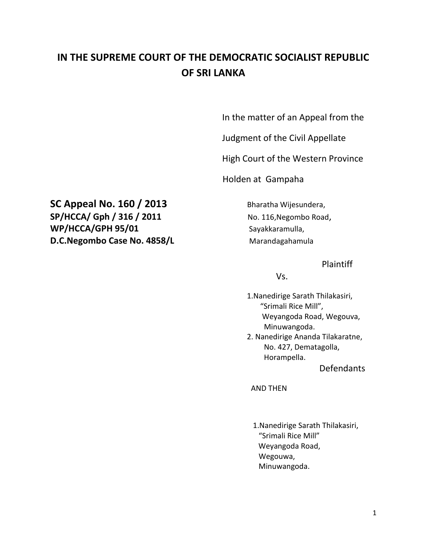## **IN THE SUPREME COURT OF THE DEMOCRATIC SOCIALIST REPUBLIC OF SRI LANKA**

In the matter of an Appeal from the

Judgment of the Civil Appellate

High Court of the Western Province

Holden at Gampaha

**SC Appeal No. 160 / 2013** Bharatha Wijesundera, **SP/HCCA/ Gph / 316 / 2011** No. 116, Negombo Road, WP/HCCA/GPH 95/01 Sayakkaramulla, **D.C.Negombo Case No. 4858/L Marandagahamula** 

Plaintiff

Vs.

 1.Nanedirige Sarath Thilakasiri, "Srimali Rice Mill", Weyangoda Road, Wegouva, Minuwangoda.

 2. Nanedirige Ananda Tilakaratne, No. 427, Dematagolla, Horampella.

Defendants

AND THEN

1.Nanedirige Sarath Thilakasiri, "Srimali Rice Mill" Weyangoda Road, Wegouwa, Minuwangoda.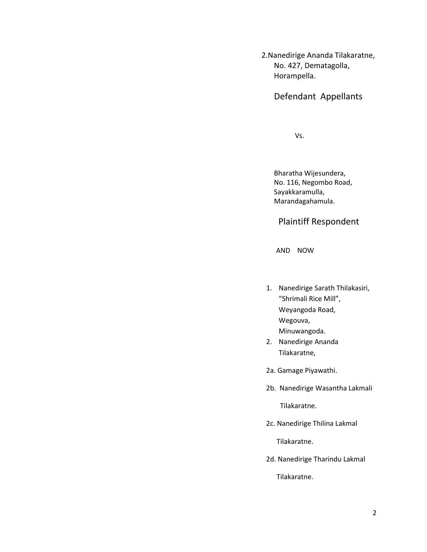2.Nanedirige Ananda Tilakaratne, No. 427, Dematagolla, Horampella.

Defendant Appellants

Vs.

 Bharatha Wijesundera, No. 116, Negombo Road, Sayakkaramulla, Marandagahamula.

Plaintiff Respondent

AND NOW

- 1. Nanedirige Sarath Thilakasiri, "Shrimali Rice Mill", Weyangoda Road, Wegouva, Minuwangoda.
- 2. Nanedirige Ananda Tilakaratne,
- 2a. Gamage Piyawathi.
- 2b. Nanedirige Wasantha Lakmali

Tilakaratne.

2c. Nanedirige Thilina Lakmal

Tilakaratne.

2d. Nanedirige Tharindu Lakmal

Tilakaratne.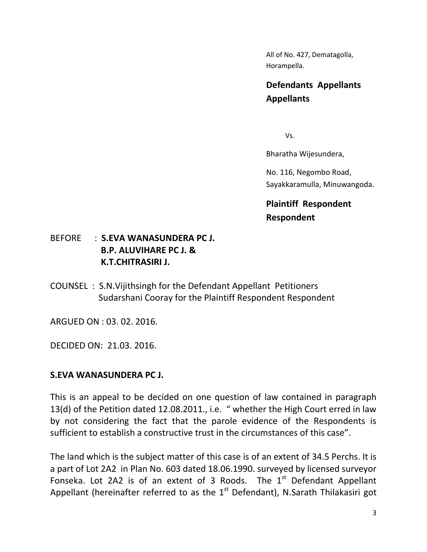All of No. 427, Dematagolla, Horampella.

## **Defendants Appellants Appellants**

Vs.

Bharatha Wijesundera,

No. 116, Negombo Road, Sayakkaramulla, Minuwangoda.

**Plaintiff Respondent Respondent**

## BEFORE : **S.EVA WANASUNDERA PC J. B.P. ALUVIHARE PC J. & K.T.CHITRASIRI J.**

COUNSEL : S.N.Vijithsingh for the Defendant Appellant Petitioners Sudarshani Cooray for the Plaintiff Respondent Respondent

ARGUED ON : 03. 02. 2016.

DECIDED ON: 21.03. 2016.

## **S.EVA WANASUNDERA PC J.**

This is an appeal to be decided on one question of law contained in paragraph 13(d) of the Petition dated 12.08.2011., i.e. " whether the High Court erred in law by not considering the fact that the parole evidence of the Respondents is sufficient to establish a constructive trust in the circumstances of this case".

The land which is the subject matter of this case is of an extent of 34.5 Perchs. It is a part of Lot 2A2 in Plan No. 603 dated 18.06.1990. surveyed by licensed surveyor Fonseka. Lot 2A2 is of an extent of 3 Roods. The  $1<sup>st</sup>$  Defendant Appellant Appellant (hereinafter referred to as the  $1<sup>st</sup>$  Defendant), N.Sarath Thilakasiri got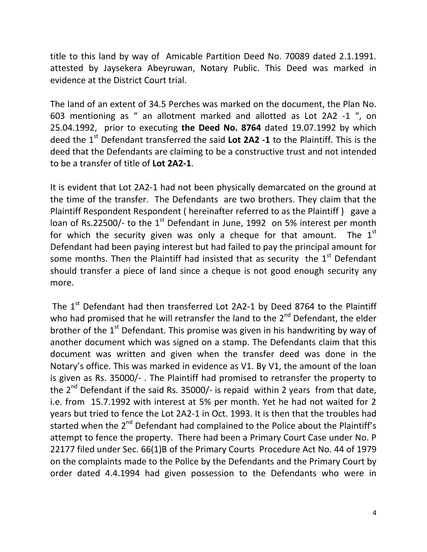title to this land by way of Amicable Partition Deed No. 70089 dated 2.1.1991. attested by Jaysekera Abeyruwan, Notary Public. This Deed was marked in evidence at the District Court trial.

The land of an extent of 34.5 Perches was marked on the document, the Plan No. 603 mentioning as " an allotment marked and allotted as Lot 2A2 -1 ", on 25.04.1992, prior to executing **the Deed No. 8764** dated 19.07.1992 by which deed the 1<sup>st</sup> Defendant transferred the said Lot 2A2 -1 to the Plaintiff. This is the deed that the Defendants are claiming to be a constructive trust and not intended to be a transfer of title of **Lot 2A2-1**.

It is evident that Lot 2A2-1 had not been physically demarcated on the ground at the time of the transfer. The Defendants are two brothers. They claim that the Plaintiff Respondent Respondent ( hereinafter referred to as the Plaintiff ) gave a loan of Rs.22500/- to the  $1<sup>st</sup>$  Defendant in June, 1992 on 5% interest per month for which the security given was only a cheque for that amount. The  $1<sup>st</sup>$ Defendant had been paying interest but had failed to pay the principal amount for some months. Then the Plaintiff had insisted that as security the  $1<sup>st</sup>$  Defendant should transfer a piece of land since a cheque is not good enough security any more.

The  $1<sup>st</sup>$  Defendant had then transferred Lot 2A2-1 by Deed 8764 to the Plaintiff who had promised that he will retransfer the land to the  $2^{nd}$  Defendant, the elder brother of the  $1<sup>st</sup>$  Defendant. This promise was given in his handwriting by way of another document which was signed on a stamp. The Defendants claim that this document was written and given when the transfer deed was done in the Notary's office. This was marked in evidence as V1. By V1, the amount of the loan is given as Rs. 35000/- . The Plaintiff had promised to retransfer the property to the  $2^{nd}$  Defendant if the said Rs. 35000/- is repaid within 2 years from that date, i.e. from 15.7.1992 with interest at 5% per month. Yet he had not waited for 2 years but tried to fence the Lot 2A2-1 in Oct. 1993. It is then that the troubles had started when the 2<sup>nd</sup> Defendant had complained to the Police about the Plaintiff's attempt to fence the property. There had been a Primary Court Case under No. P 22177 filed under Sec. 66(1)B of the Primary Courts Procedure Act No. 44 of 1979 on the complaints made to the Police by the Defendants and the Primary Court by order dated 4.4.1994 had given possession to the Defendants who were in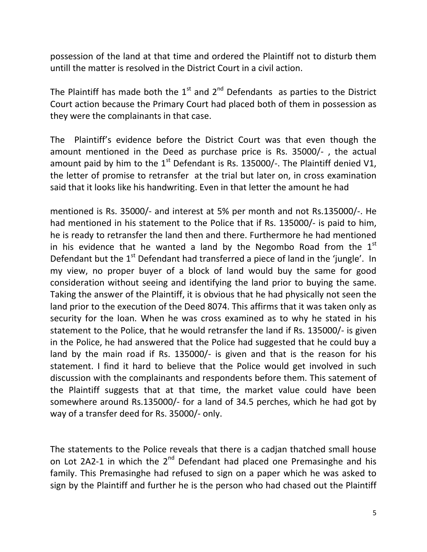possession of the land at that time and ordered the Plaintiff not to disturb them untill the matter is resolved in the District Court in a civil action.

The Plaintiff has made both the  $1<sup>st</sup>$  and  $2<sup>nd</sup>$  Defendants as parties to the District Court action because the Primary Court had placed both of them in possession as they were the complainants in that case.

The Plaintiff's evidence before the District Court was that even though the amount mentioned in the Deed as purchase price is Rs. 35000/- , the actual amount paid by him to the  $1<sup>st</sup>$  Defendant is Rs. 135000/-. The Plaintiff denied V1, the letter of promise to retransfer at the trial but later on, in cross examination said that it looks like his handwriting. Even in that letter the amount he had

mentioned is Rs. 35000/- and interest at 5% per month and not Rs.135000/-. He had mentioned in his statement to the Police that if Rs. 135000/- is paid to him, he is ready to retransfer the land then and there. Furthermore he had mentioned in his evidence that he wanted a land by the Negombo Road from the  $1<sup>st</sup>$ Defendant but the  $1<sup>st</sup>$  Defendant had transferred a piece of land in the 'jungle'. In my view, no proper buyer of a block of land would buy the same for good consideration without seeing and identifying the land prior to buying the same. Taking the answer of the Plaintiff, it is obvious that he had physically not seen the land prior to the execution of the Deed 8074. This affirms that it was taken only as security for the loan. When he was cross examined as to why he stated in his statement to the Police, that he would retransfer the land if Rs. 135000/- is given in the Police, he had answered that the Police had suggested that he could buy a land by the main road if Rs. 135000/- is given and that is the reason for his statement. I find it hard to believe that the Police would get involved in such discussion with the complainants and respondents before them. This satement of the Plaintiff suggests that at that time, the market value could have been somewhere around Rs.135000/- for a land of 34.5 perches, which he had got by way of a transfer deed for Rs. 35000/- only.

The statements to the Police reveals that there is a cadjan thatched small house on Lot 2A2-1 in which the  $2^{nd}$  Defendant had placed one Premasinghe and his family. This Premasinghe had refused to sign on a paper which he was asked to sign by the Plaintiff and further he is the person who had chased out the Plaintiff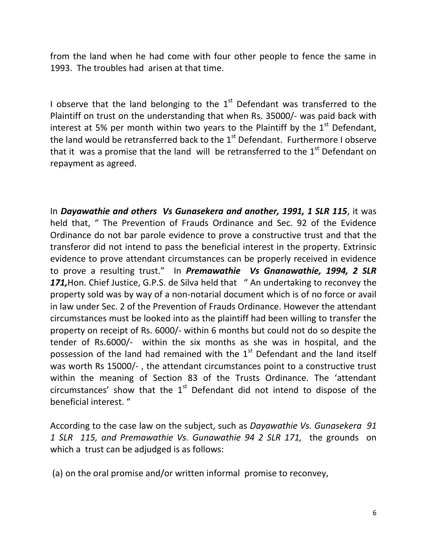from the land when he had come with four other people to fence the same in 1993. The troubles had arisen at that time.

I observe that the land belonging to the  $1<sup>st</sup>$  Defendant was transferred to the Plaintiff on trust on the understanding that when Rs. 35000/- was paid back with interest at 5% per month within two years to the Plaintiff by the  $1<sup>st</sup>$  Defendant, the land would be retransferred back to the  $1<sup>st</sup>$  Defendant. Furthermore I observe that it was a promise that the land will be retransferred to the  $1<sup>st</sup>$  Defendant on repayment as agreed.

In *Dayawathie and others Vs Gunasekera and another, 1991, 1 SLR 115*, it was held that, " The Prevention of Frauds Ordinance and Sec. 92 of the Evidence Ordinance do not bar parole evidence to prove a constructive trust and that the transferor did not intend to pass the beneficial interest in the property. Extrinsic evidence to prove attendant circumstances can be properly received in evidence to prove a resulting trust." In *Premawathie Vs Gnanawathie, 1994, 2 SLR*  171, Hon. Chief Justice, G.P.S. de Silva held that " An undertaking to reconvey the property sold was by way of a non-notarial document which is of no force or avail in law under Sec. 2 of the Prevention of Frauds Ordinance. However the attendant circumstances must be looked into as the plaintiff had been willing to transfer the property on receipt of Rs. 6000/- within 6 months but could not do so despite the tender of Rs.6000/- within the six months as she was in hospital, and the possession of the land had remained with the  $1<sup>st</sup>$  Defendant and the land itself was worth Rs 15000/- , the attendant circumstances point to a constructive trust within the meaning of Section 83 of the Trusts Ordinance. The 'attendant circumstances' show that the  $1<sup>st</sup>$  Defendant did not intend to dispose of the beneficial interest. "

According to the case law on the subject, such as *Dayawathie Vs. Gunasekera 91 1 SLR 115, and Premawathie Vs. Gunawathie 94 2 SLR 171,* the grounds on which a trust can be adjudged is as follows:

(a) on the oral promise and/or written informal promise to reconvey,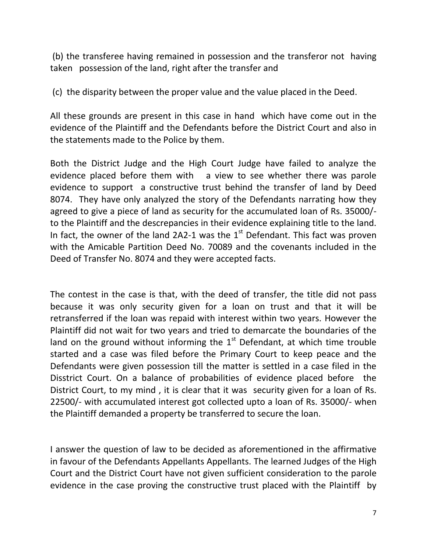(b) the transferee having remained in possession and the transferor not having taken possession of the land, right after the transfer and

(c) the disparity between the proper value and the value placed in the Deed.

All these grounds are present in this case in hand which have come out in the evidence of the Plaintiff and the Defendants before the District Court and also in the statements made to the Police by them.

Both the District Judge and the High Court Judge have failed to analyze the evidence placed before them with a view to see whether there was parole evidence to support a constructive trust behind the transfer of land by Deed 8074. They have only analyzed the story of the Defendants narrating how they agreed to give a piece of land as security for the accumulated loan of Rs. 35000/ to the Plaintiff and the descrepancies in their evidence explaining title to the land. In fact, the owner of the land 2A2-1 was the  $1<sup>st</sup>$  Defendant. This fact was proven with the Amicable Partition Deed No. 70089 and the covenants included in the Deed of Transfer No. 8074 and they were accepted facts.

The contest in the case is that, with the deed of transfer, the title did not pass because it was only security given for a loan on trust and that it will be retransferred if the loan was repaid with interest within two years. However the Plaintiff did not wait for two years and tried to demarcate the boundaries of the land on the ground without informing the  $1<sup>st</sup>$  Defendant, at which time trouble started and a case was filed before the Primary Court to keep peace and the Defendants were given possession till the matter is settled in a case filed in the Disstrict Court. On a balance of probabilities of evidence placed before the District Court, to my mind , it is clear that it was security given for a loan of Rs. 22500/- with accumulated interest got collected upto a loan of Rs. 35000/- when the Plaintiff demanded a property be transferred to secure the loan.

I answer the question of law to be decided as aforementioned in the affirmative in favour of the Defendants Appellants Appellants. The learned Judges of the High Court and the District Court have not given sufficient consideration to the parole evidence in the case proving the constructive trust placed with the Plaintiff by